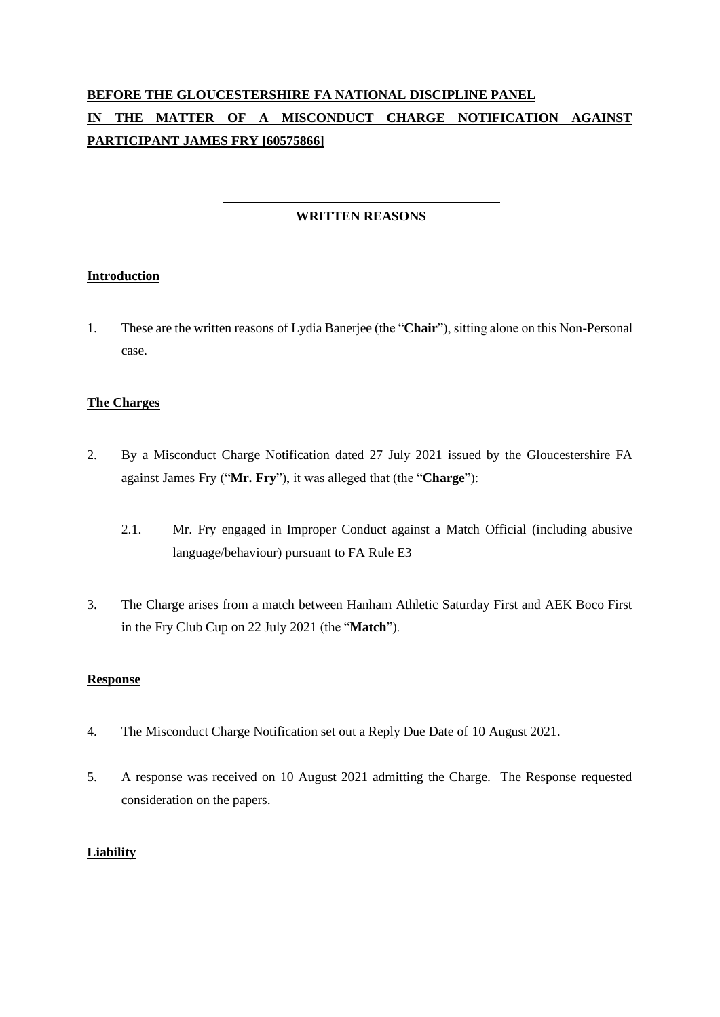# **BEFORE THE GLOUCESTERSHIRE FA NATIONAL DISCIPLINE PANEL IN THE MATTER OF A MISCONDUCT CHARGE NOTIFICATION AGAINST PARTICIPANT JAMES FRY [60575866]**

## **WRITTEN REASONS**

### **Introduction**

1. These are the written reasons of Lydia Banerjee (the "**Chair**"), sitting alone on this Non-Personal case.

### **The Charges**

- 2. By a Misconduct Charge Notification dated 27 July 2021 issued by the Gloucestershire FA against James Fry ("**Mr. Fry**"), it was alleged that (the "**Charge**"):
	- 2.1. Mr. Fry engaged in Improper Conduct against a Match Official (including abusive language/behaviour) pursuant to FA Rule E3
- 3. The Charge arises from a match between Hanham Athletic Saturday First and AEK Boco First in the Fry Club Cup on 22 July 2021 (the "**Match**").

#### **Response**

- 4. The Misconduct Charge Notification set out a Reply Due Date of 10 August 2021.
- 5. A response was received on 10 August 2021 admitting the Charge. The Response requested consideration on the papers.

#### **Liability**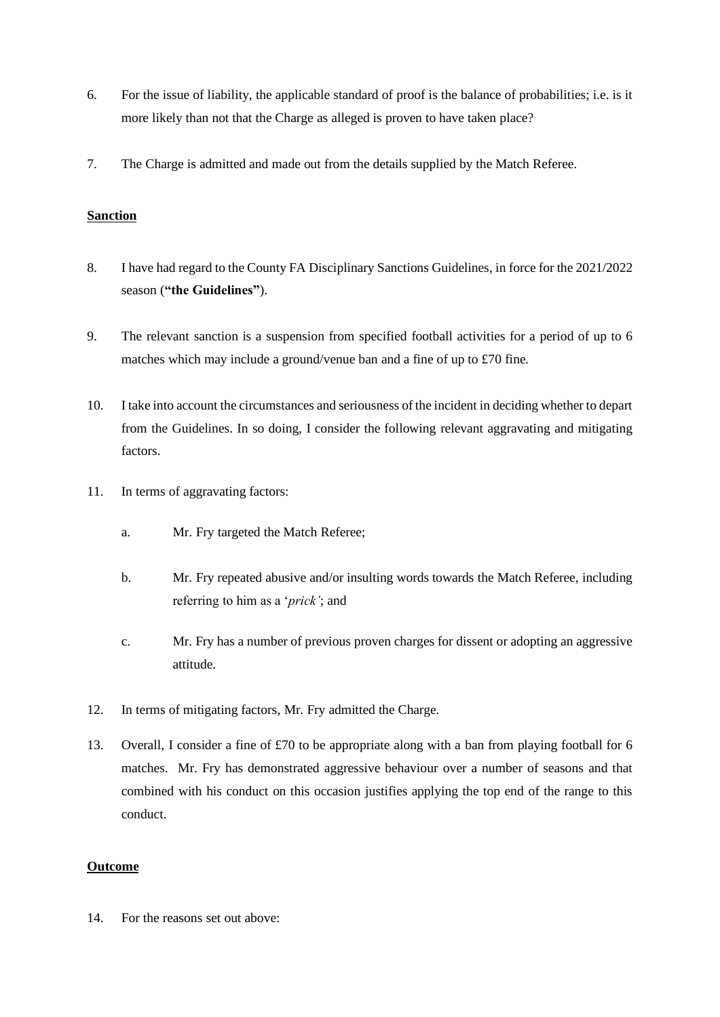- 6. For the issue of liability, the applicable standard of proof is the balance of probabilities; i.e. is it more likely than not that the Charge as alleged is proven to have taken place?
- 7. The Charge is admitted and made out from the details supplied by the Match Referee.

#### **Sanction**

- 8. I have had regard to the County FA Disciplinary Sanctions Guidelines, in force for the 2021/2022 season (**"the Guidelines"**).
- 9. The relevant sanction is a suspension from specified football activities for a period of up to 6 matches which may include a ground/venue ban and a fine of up to £70 fine.
- 10. I take into account the circumstances and seriousness of the incident in deciding whether to depart from the Guidelines. In so doing, I consider the following relevant aggravating and mitigating factors.
- 11. In terms of aggravating factors:
	- a. Mr. Fry targeted the Match Referee;
	- b. Mr. Fry repeated abusive and/or insulting words towards the Match Referee, including referring to him as a '*prick'*; and
	- c. Mr. Fry has a number of previous proven charges for dissent or adopting an aggressive attitude.
- 12. In terms of mitigating factors, Mr. Fry admitted the Charge.
- 13. Overall, I consider a fine of £70 to be appropriate along with a ban from playing football for 6 matches. Mr. Fry has demonstrated aggressive behaviour over a number of seasons and that combined with his conduct on this occasion justifies applying the top end of the range to this conduct.

### **Outcome**

14. For the reasons set out above: